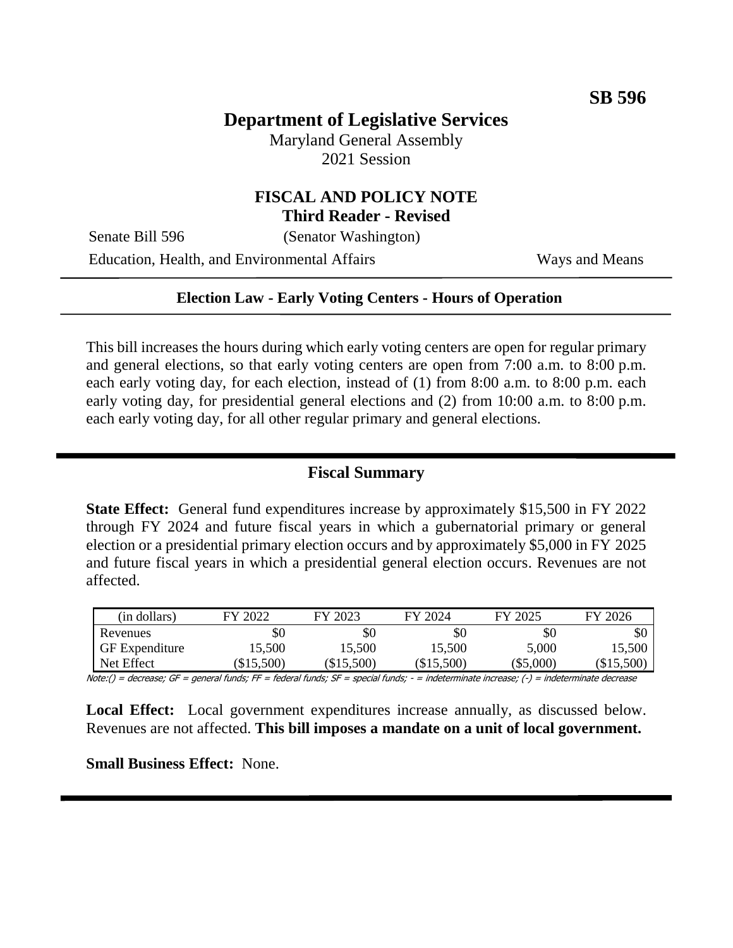## **Department of Legislative Services**

Maryland General Assembly 2021 Session

# **FISCAL AND POLICY NOTE**

**Third Reader - Revised**

Senate Bill 596 (Senator Washington)

Education, Health, and Environmental Affairs Ways and Means

#### **Election Law - Early Voting Centers - Hours of Operation**

This bill increases the hours during which early voting centers are open for regular primary and general elections, so that early voting centers are open from 7:00 a.m. to 8:00 p.m. each early voting day, for each election, instead of (1) from 8:00 a.m. to 8:00 p.m. each early voting day, for presidential general elections and (2) from 10:00 a.m. to 8:00 p.m. each early voting day, for all other regular primary and general elections.

#### **Fiscal Summary**

**State Effect:** General fund expenditures increase by approximately \$15,500 in FY 2022 through FY 2024 and future fiscal years in which a gubernatorial primary or general election or a presidential primary election occurs and by approximately \$5,000 in FY 2025 and future fiscal years in which a presidential general election occurs. Revenues are not affected.

| (in dollars)          | FY 2022  | FY 2023  | FY 2024  | FY 2025     | FY 2026    |
|-----------------------|----------|----------|----------|-------------|------------|
| Revenues              | \$0      | \$0      | \$0      | \$0         | \$0        |
| <b>GF</b> Expenditure | 15,500   | 15,500   | 15,500   | 5,000       | 15,500     |
| Net Effect            | \$15,500 | \$15,500 | \$15,500 | $(\$5,000)$ | $\$15,500$ |

Note:() = decrease; GF = general funds; FF = federal funds; SF = special funds; - = indeterminate increase; (-) = indeterminate decrease

**Local Effect:** Local government expenditures increase annually, as discussed below. Revenues are not affected. **This bill imposes a mandate on a unit of local government.**

**Small Business Effect:** None.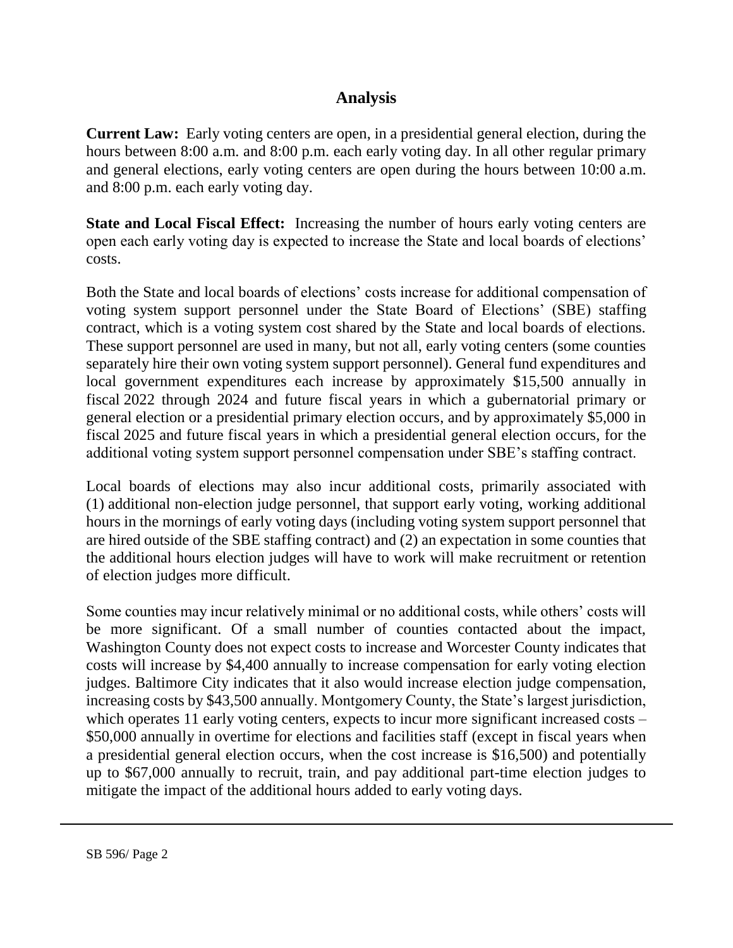## **Analysis**

**Current Law:** Early voting centers are open, in a presidential general election, during the hours between 8:00 a.m. and 8:00 p.m. each early voting day. In all other regular primary and general elections, early voting centers are open during the hours between 10:00 a.m. and 8:00 p.m. each early voting day.

**State and Local Fiscal Effect:** Increasing the number of hours early voting centers are open each early voting day is expected to increase the State and local boards of elections' costs.

Both the State and local boards of elections' costs increase for additional compensation of voting system support personnel under the State Board of Elections' (SBE) staffing contract, which is a voting system cost shared by the State and local boards of elections. These support personnel are used in many, but not all, early voting centers (some counties separately hire their own voting system support personnel). General fund expenditures and local government expenditures each increase by approximately \$15,500 annually in fiscal 2022 through 2024 and future fiscal years in which a gubernatorial primary or general election or a presidential primary election occurs, and by approximately \$5,000 in fiscal 2025 and future fiscal years in which a presidential general election occurs, for the additional voting system support personnel compensation under SBE's staffing contract.

Local boards of elections may also incur additional costs, primarily associated with (1) additional non-election judge personnel, that support early voting, working additional hours in the mornings of early voting days (including voting system support personnel that are hired outside of the SBE staffing contract) and (2) an expectation in some counties that the additional hours election judges will have to work will make recruitment or retention of election judges more difficult.

Some counties may incur relatively minimal or no additional costs, while others' costs will be more significant. Of a small number of counties contacted about the impact, Washington County does not expect costs to increase and Worcester County indicates that costs will increase by \$4,400 annually to increase compensation for early voting election judges. Baltimore City indicates that it also would increase election judge compensation, increasing costs by \$43,500 annually. Montgomery County, the State's largest jurisdiction, which operates 11 early voting centers, expects to incur more significant increased costs – \$50,000 annually in overtime for elections and facilities staff (except in fiscal years when a presidential general election occurs, when the cost increase is \$16,500) and potentially up to \$67,000 annually to recruit, train, and pay additional part-time election judges to mitigate the impact of the additional hours added to early voting days.